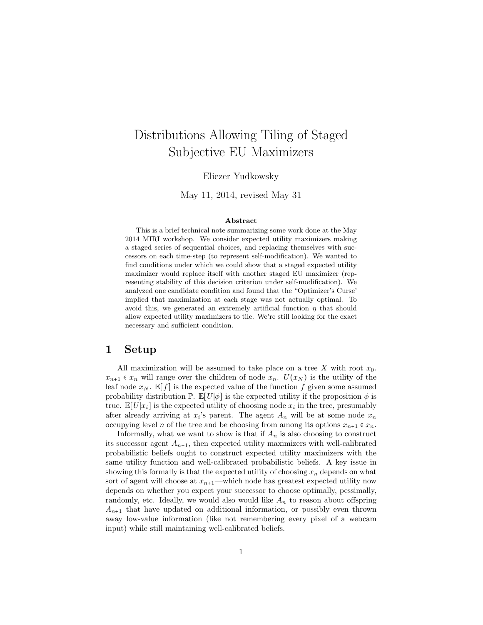# Distributions Allowing Tiling of Staged Subjective EU Maximizers

Eliezer Yudkowsky

May 11, 2014, revised May 31

#### Abstract

This is a brief technical note summarizing some work done at the May 2014 MIRI workshop. We consider expected utility maximizers making a staged series of sequential choices, and replacing themselves with successors on each time-step (to represent self-modification). We wanted to find conditions under which we could show that a staged expected utility maximizer would replace itself with another staged EU maximizer (representing stability of this decision criterion under self-modification). We analyzed one candidate condition and found that the "Optimizer's Curse' implied that maximization at each stage was not actually optimal. To avoid this, we generated an extremely artificial function  $\eta$  that should allow expected utility maximizers to tile. We're still looking for the exact necessary and sufficient condition.

#### 1 Setup

All maximization will be assumed to take place on a tree X with root  $x_0$ .  $x_{n+1} \in x_n$  will range over the children of node  $x_n$ .  $U(x_N)$  is the utility of the leaf node  $x_N$ .  $\mathbb{E}[f]$  is the expected value of the function f given some assumed probability distribution  $\mathbb{P}$ .  $\mathbb{E}[U|\phi]$  is the expected utility if the proposition  $\phi$  is true.  $\mathbb{E}[U|x_i]$  is the expected utility of choosing node  $x_i$  in the tree, presumably after already arriving at  $x_i$ 's parent. The agent  $A_n$  will be at some node  $x_n$ occupying level n of the tree and be choosing from among its options  $x_{n+1} \in x_n$ .

Informally, what we want to show is that if  $A_n$  is also choosing to construct its successor agent  $A_{n+1}$ , then expected utility maximizers with well-calibrated probabilistic beliefs ought to construct expected utility maximizers with the same utility function and well-calibrated probabilistic beliefs. A key issue in showing this formally is that the expected utility of choosing  $x_n$  depends on what sort of agent will choose at  $x_{n+1}$ —which node has greatest expected utility now depends on whether you expect your successor to choose optimally, pessimally, randomly, etc. Ideally, we would also would like  $A_n$  to reason about offspring  $A_{n+1}$  that have updated on additional information, or possibly even thrown away low-value information (like not remembering every pixel of a webcam input) while still maintaining well-calibrated beliefs.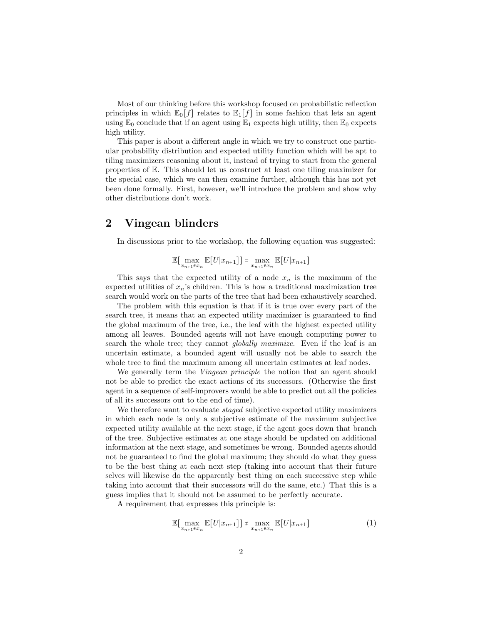Most of our thinking before this workshop focused on probabilistic reflection principles in which  $\mathbb{E}_0[f]$  relates to  $\mathbb{E}_1[f]$  in some fashion that lets an agent using  $\mathbb{E}_0$  conclude that if an agent using  $\mathbb{E}_1$  expects high utility, then  $\mathbb{E}_0$  expects high utility.

This paper is about a different angle in which we try to construct one particular probability distribution and expected utility function which will be apt to tiling maximizers reasoning about it, instead of trying to start from the general properties of E. This should let us construct at least one tiling maximizer for the special case, which we can then examine further, although this has not yet been done formally. First, however, we'll introduce the problem and show why other distributions don't work.

#### 2 Vingean blinders

In discussions prior to the workshop, the following equation was suggested:

$$
\mathbb{E}[\max_{x_{n+1}\in x_n}\mathbb{E}[U|x_{n+1}]] = \max_{x_{n+1}\in x_n}\mathbb{E}[U|x_{n+1}]
$$

This says that the expected utility of a node  $x_n$  is the maximum of the expected utilities of  $x_n$ 's children. This is how a traditional maximization tree search would work on the parts of the tree that had been exhaustively searched.

The problem with this equation is that if it is true over every part of the search tree, it means that an expected utility maximizer is guaranteed to find the global maximum of the tree, i.e., the leaf with the highest expected utility among all leaves. Bounded agents will not have enough computing power to search the whole tree; they cannot *globally maximize*. Even if the leaf is an uncertain estimate, a bounded agent will usually not be able to search the whole tree to find the maximum among all uncertain estimates at leaf nodes.

We generally term the *Vingean principle* the notion that an agent should not be able to predict the exact actions of its successors. (Otherwise the first agent in a sequence of self-improvers would be able to predict out all the policies of all its successors out to the end of time).

We therefore want to evaluate *staged* subjective expected utility maximizers in which each node is only a subjective estimate of the maximum subjective expected utility available at the next stage, if the agent goes down that branch of the tree. Subjective estimates at one stage should be updated on additional information at the next stage, and sometimes be wrong. Bounded agents should not be guaranteed to find the global maximum; they should do what they guess to be the best thing at each next step (taking into account that their future selves will likewise do the apparently best thing on each successive step while taking into account that their successors will do the same, etc.) That this is a guess implies that it should not be assumed to be perfectly accurate.

A requirement that expresses this principle is:

<span id="page-1-0"></span>
$$
\mathbb{E}[\max_{x_{n+1}\in x_n} \mathbb{E}[U|x_{n+1}]] + \max_{x_{n+1}\in x_n} \mathbb{E}[U|x_{n+1}]
$$
\n(1)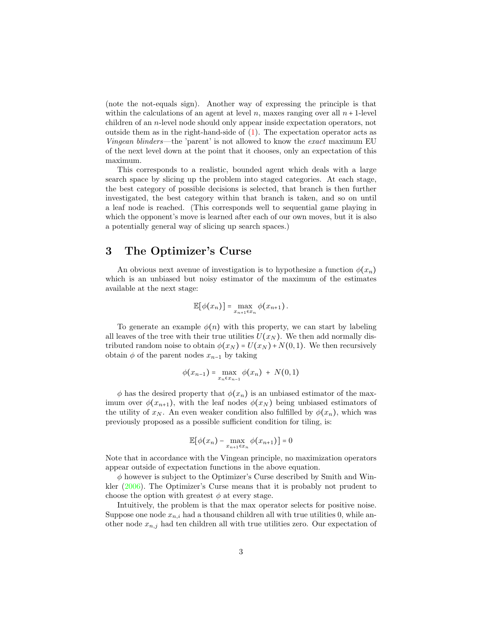(note the not-equals sign). Another way of expressing the principle is that within the calculations of an agent at level n, maxes ranging over all  $n + 1$ -level children of an n-level node should only appear inside expectation operators, not outside them as in the right-hand-side of [\(1\)](#page-1-0). The expectation operator acts as Vingean blinders—the 'parent' is not allowed to know the exact maximum EU of the next level down at the point that it chooses, only an expectation of this maximum.

This corresponds to a realistic, bounded agent which deals with a large search space by slicing up the problem into staged categories. At each stage, the best category of possible decisions is selected, that branch is then further investigated, the best category within that branch is taken, and so on until a leaf node is reached. (This corresponds well to sequential game playing in which the opponent's move is learned after each of our own moves, but it is also a potentially general way of slicing up search spaces.)

#### 3 The Optimizer's Curse

An obvious next avenue of investigation is to hypothesize a function  $\phi(x_n)$ which is an unbiased but noisy estimator of the maximum of the estimates available at the next stage:

$$
\mathbb{E}[\phi(x_n)] = \max_{x_{n+1} \in x_n} \phi(x_{n+1}).
$$

To generate an example  $\phi(n)$  with this property, we can start by labeling all leaves of the tree with their true utilities  $U(x_N)$ . We then add normally distributed random noise to obtain  $\phi(x_N) = U(x_N) + N(0, 1)$ . We then recursively obtain  $\phi$  of the parent nodes  $x_{n-1}$  by taking

$$
\phi(x_{n-1}) = \max_{x_n \in x_{n-1}} \phi(x_n) + N(0,1)
$$

 $\phi$  has the desired property that  $\phi(x_n)$  is an unbiased estimator of the maximum over  $\phi(x_{n+1})$ , with the leaf nodes  $\phi(x_N)$  being unbiased estimators of the utility of  $x_N$ . An even weaker condition also fulfilled by  $\phi(x_n)$ , which was previously proposed as a possible sufficient condition for tiling, is:

$$
\mathbb{E}[\phi(x_n) - \max_{x_{n+1} \in x_n} \phi(x_{n+1})] = 0
$$

Note that in accordance with the Vingean principle, no maximization operators appear outside of expectation functions in the above equation.

 $\phi$  however is subject to the Optimizer's Curse described by Smith and Winkler [\(2006\)](#page-5-0). The Optimizer's Curse means that it is probably not prudent to choose the option with greatest  $\phi$  at every stage.

Intuitively, the problem is that the max operator selects for positive noise. Suppose one node  $x_{n,i}$  had a thousand children all with true utilities 0, while another node  $x_{n,j}$  had ten children all with true utilities zero. Our expectation of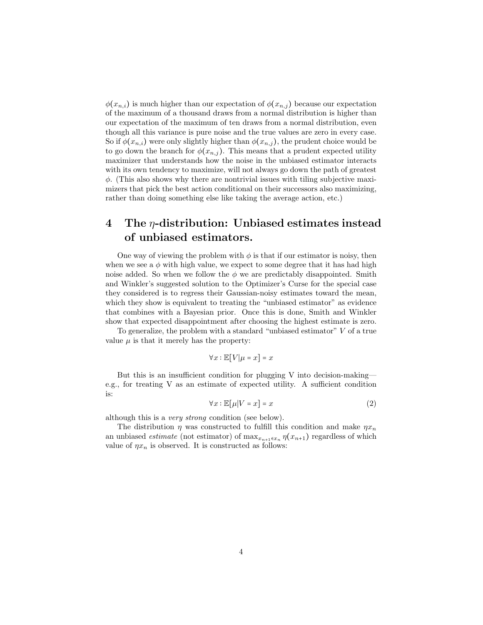$\phi(x_{n,i})$  is much higher than our expectation of  $\phi(x_{n,j})$  because our expectation of the maximum of a thousand draws from a normal distribution is higher than our expectation of the maximum of ten draws from a normal distribution, even though all this variance is pure noise and the true values are zero in every case. So if  $\phi(x_{n,i})$  were only slightly higher than  $\phi(x_{n,j})$ , the prudent choice would be to go down the branch for  $\phi(x_{n,j})$ . This means that a prudent expected utility maximizer that understands how the noise in the unbiased estimator interacts with its own tendency to maximize, will not always go down the path of greatest  $\phi$ . (This also shows why there are nontrivial issues with tiling subjective maximizers that pick the best action conditional on their successors also maximizing, rather than doing something else like taking the average action, etc.)

## 4 The  $\eta$ -distribution: Unbiased estimates instead of unbiased estimators.

One way of viewing the problem with  $\phi$  is that if our estimator is noisy, then when we see a  $\phi$  with high value, we expect to some degree that it has had high noise added. So when we follow the  $\phi$  we are predictably disappointed. Smith and Winkler's suggested solution to the Optimizer's Curse for the special case they considered is to regress their Gaussian-noisy estimates toward the mean, which they show is equivalent to treating the "unbiased estimator" as evidence that combines with a Bayesian prior. Once this is done, Smith and Winkler show that expected disappointment after choosing the highest estimate is zero.

To generalize, the problem with a standard "unbiased estimator" V of a true value  $\mu$  is that it merely has the property:

$$
\forall x : \mathbb{E}[V|\mu = x] = x
$$

But this is an insufficient condition for plugging V into decision-making e.g., for treating V as an estimate of expected utility. A sufficient condition is:

<span id="page-3-0"></span>
$$
\forall x : \mathbb{E}[\mu|V=x] = x \tag{2}
$$

although this is a very strong condition (see below).

The distribution  $\eta$  was constructed to fulfill this condition and make  $\eta x_n$ an unbiased *estimate* (not estimator) of  $\max_{x_{n+1} \in x_n} \eta(x_{n+1})$  regardless of which value of  $\eta x_n$  is observed. It is constructed as follows: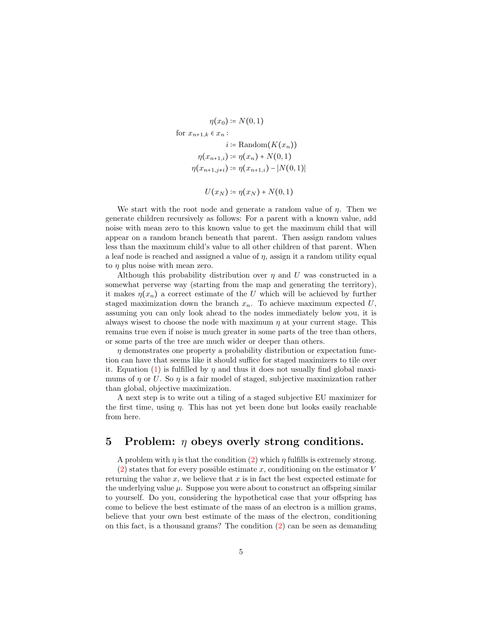$$
\eta(x_0) \coloneqq N(0, 1)
$$
\n
$$
\text{for } x_{n+1,k} \in x_n : \quad i := \text{Random}(K(x_n))
$$
\n
$$
\eta(x_{n+1,i}) \coloneqq \eta(x_n) + N(0, 1)
$$
\n
$$
\eta(x_{n+1,j\neq i}) \coloneqq \eta(x_{n+1,i}) - |N(0, 1)|
$$
\n
$$
U(x_N) \coloneqq \eta(x_N) + N(0, 1)
$$

We start with the root node and generate a random value of  $\eta$ . Then we generate children recursively as follows: For a parent with a known value, add noise with mean zero to this known value to get the maximum child that will appear on a random branch beneath that parent. Then assign random values less than the maximum child's value to all other children of that parent. When a leaf node is reached and assigned a value of  $\eta$ , assign it a random utility equal to η plus noise with mean zero.

Although this probability distribution over  $\eta$  and U was constructed in a somewhat perverse way (starting from the map and generating the territory), it makes  $\eta(x_n)$  a correct estimate of the U which will be achieved by further staged maximization down the branch  $x_n$ . To achieve maximum expected U, assuming you can only look ahead to the nodes immediately below you, it is always wisest to choose the node with maximum  $\eta$  at your current stage. This remains true even if noise is much greater in some parts of the tree than others, or some parts of the tree are much wider or deeper than others.

 $\eta$  demonstrates one property a probability distribution or expectation function can have that seems like it should suffice for staged maximizers to tile over it. Equation [\(1\)](#page-1-0) is fulfilled by  $\eta$  and thus it does not usually find global maximums of  $\eta$  or U. So  $\eta$  is a fair model of staged, subjective maximization rather than global, objective maximization.

A next step is to write out a tiling of a staged subjective EU maximizer for the first time, using  $\eta$ . This has not yet been done but looks easily reachable from here.

#### 5 Problem:  $\eta$  obeys overly strong conditions.

A problem with  $\eta$  is that the condition [\(2\)](#page-3-0) which  $\eta$  fulfills is extremely strong.  $(2)$  states that for every possible estimate x, conditioning on the estimator V returning the value x, we believe that x is in fact the best expected estimate for the underlying value  $\mu$ . Suppose you were about to construct an offspring similar to yourself. Do you, considering the hypothetical case that your offspring has come to believe the best estimate of the mass of an electron is a million grams, believe that your own best estimate of the mass of the electron, conditioning on this fact, is a thousand grams? The condition [\(2\)](#page-3-0) can be seen as demanding